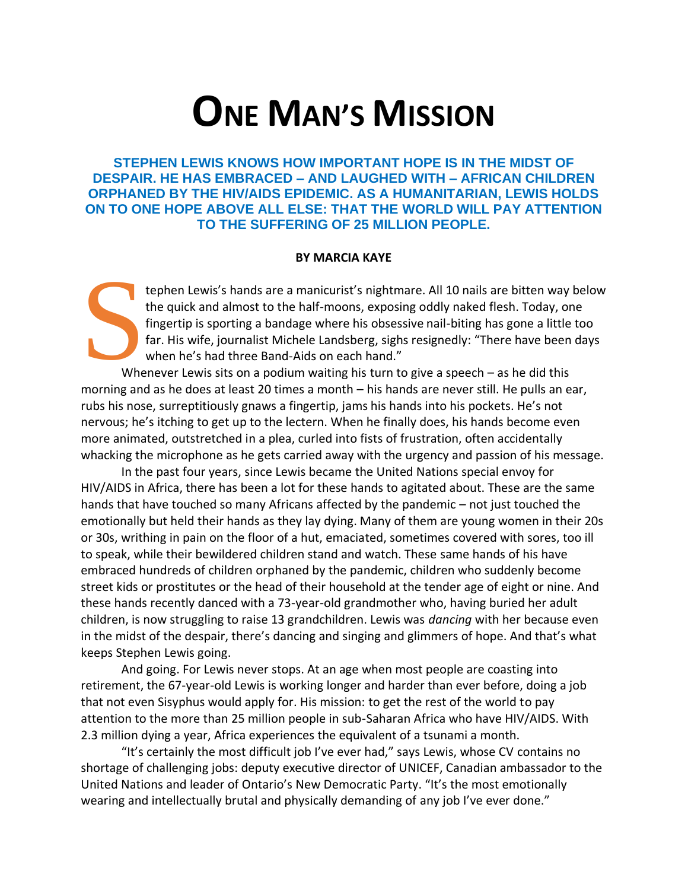# **ONE MAN'S MISSION**

**STEPHEN LEWIS KNOWS HOW IMPORTANT HOPE IS IN THE MIDST OF DESPAIR. HE HAS EMBRACED – AND LAUGHED WITH – AFRICAN CHILDREN ORPHANED BY THE HIV/AIDS EPIDEMIC. AS A HUMANITARIAN, LEWIS HOLDS ON TO ONE HOPE ABOVE ALL ELSE: THAT THE WORLD WILL PAY ATTENTION TO THE SUFFERING OF 25 MILLION PEOPLE.**

#### **BY MARCIA KAYE**

tephen Lewis's hands are a manicurist's nightmare. All 10 nails are bitten way below the quick and almost to the half-moons, exposing oddly naked flesh. Today, one fingertip is sporting a bandage where his obsessive nail-biting has gone a little too far. His wife, journalist Michele Landsberg, sighs resignedly: "There have been days when he's had three Band-Aids on each hand." S<sub>Whe</sub>

Whenever Lewis sits on a podium waiting his turn to give a speech – as he did this morning and as he does at least 20 times a month – his hands are never still. He pulls an ear, rubs his nose, surreptitiously gnaws a fingertip, jams his hands into his pockets. He's not nervous; he's itching to get up to the lectern. When he finally does, his hands become even more animated, outstretched in a plea, curled into fists of frustration, often accidentally whacking the microphone as he gets carried away with the urgency and passion of his message.

In the past four years, since Lewis became the United Nations special envoy for HIV/AIDS in Africa, there has been a lot for these hands to agitated about. These are the same hands that have touched so many Africans affected by the pandemic – not just touched the emotionally but held their hands as they lay dying. Many of them are young women in their 20s or 30s, writhing in pain on the floor of a hut, emaciated, sometimes covered with sores, too ill to speak, while their bewildered children stand and watch. These same hands of his have embraced hundreds of children orphaned by the pandemic, children who suddenly become street kids or prostitutes or the head of their household at the tender age of eight or nine. And these hands recently danced with a 73-year-old grandmother who, having buried her adult children, is now struggling to raise 13 grandchildren. Lewis was *dancing* with her because even in the midst of the despair, there's dancing and singing and glimmers of hope. And that's what keeps Stephen Lewis going.

And going. For Lewis never stops. At an age when most people are coasting into retirement, the 67-year-old Lewis is working longer and harder than ever before, doing a job that not even Sisyphus would apply for. His mission: to get the rest of the world to pay attention to the more than 25 million people in sub-Saharan Africa who have HIV/AIDS. With 2.3 million dying a year, Africa experiences the equivalent of a tsunami a month.

"It's certainly the most difficult job I've ever had," says Lewis, whose CV contains no shortage of challenging jobs: deputy executive director of UNICEF, Canadian ambassador to the United Nations and leader of Ontario's New Democratic Party. "It's the most emotionally wearing and intellectually brutal and physically demanding of any job I've ever done."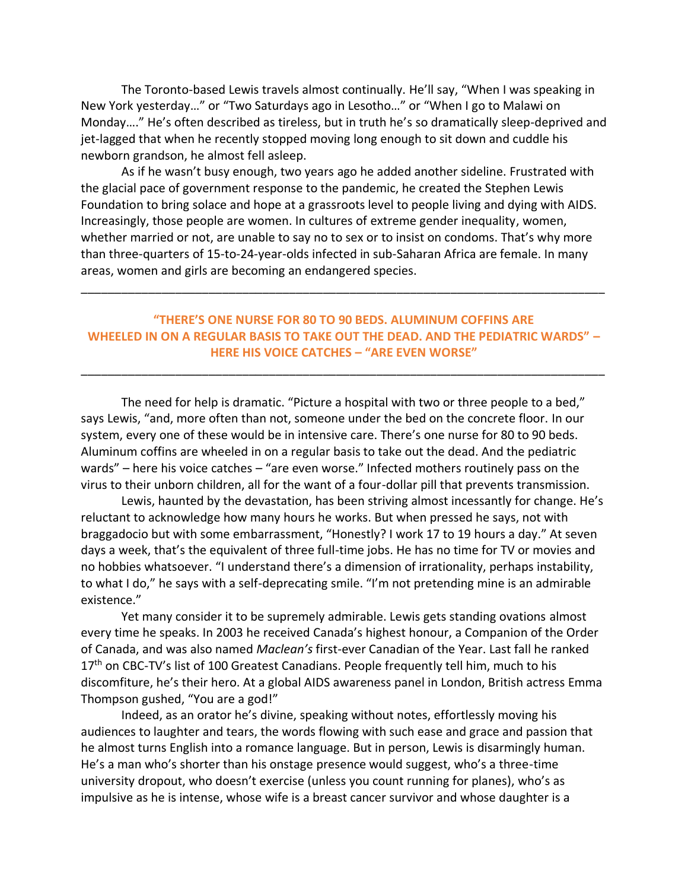The Toronto-based Lewis travels almost continually. He'll say, "When I was speaking in New York yesterday…" or "Two Saturdays ago in Lesotho…" or "When I go to Malawi on Monday…." He's often described as tireless, but in truth he's so dramatically sleep-deprived and jet-lagged that when he recently stopped moving long enough to sit down and cuddle his newborn grandson, he almost fell asleep.

As if he wasn't busy enough, two years ago he added another sideline. Frustrated with the glacial pace of government response to the pandemic, he created the Stephen Lewis Foundation to bring solace and hope at a grassroots level to people living and dying with AIDS. Increasingly, those people are women. In cultures of extreme gender inequality, women, whether married or not, are unable to say no to sex or to insist on condoms. That's why more than three-quarters of 15-to-24-year-olds infected in sub-Saharan Africa are female. In many areas, women and girls are becoming an endangered species.

### **"THERE'S ONE NURSE FOR 80 TO 90 BEDS. ALUMINUM COFFINS ARE WHEELED IN ON A REGULAR BASIS TO TAKE OUT THE DEAD. AND THE PEDIATRIC WARDS" – HERE HIS VOICE CATCHES – "ARE EVEN WORSE"**

\_\_\_\_\_\_\_\_\_\_\_\_\_\_\_\_\_\_\_\_\_\_\_\_\_\_\_\_\_\_\_\_\_\_\_\_\_\_\_\_\_\_\_\_\_\_\_\_\_\_\_\_\_\_\_\_\_\_\_\_\_\_\_\_\_\_\_\_\_\_\_\_\_\_\_\_\_\_

\_\_\_\_\_\_\_\_\_\_\_\_\_\_\_\_\_\_\_\_\_\_\_\_\_\_\_\_\_\_\_\_\_\_\_\_\_\_\_\_\_\_\_\_\_\_\_\_\_\_\_\_\_\_\_\_\_\_\_\_\_\_\_\_\_\_\_\_\_\_\_\_\_\_\_\_\_\_

The need for help is dramatic. "Picture a hospital with two or three people to a bed," says Lewis, "and, more often than not, someone under the bed on the concrete floor. In our system, every one of these would be in intensive care. There's one nurse for 80 to 90 beds. Aluminum coffins are wheeled in on a regular basis to take out the dead. And the pediatric wards" – here his voice catches – "are even worse." Infected mothers routinely pass on the virus to their unborn children, all for the want of a four-dollar pill that prevents transmission.

Lewis, haunted by the devastation, has been striving almost incessantly for change. He's reluctant to acknowledge how many hours he works. But when pressed he says, not with braggadocio but with some embarrassment, "Honestly? I work 17 to 19 hours a day." At seven days a week, that's the equivalent of three full-time jobs. He has no time for TV or movies and no hobbies whatsoever. "I understand there's a dimension of irrationality, perhaps instability, to what I do," he says with a self-deprecating smile. "I'm not pretending mine is an admirable existence."

Yet many consider it to be supremely admirable. Lewis gets standing ovations almost every time he speaks. In 2003 he received Canada's highest honour, a Companion of the Order of Canada, and was also named *Maclean's* first-ever Canadian of the Year. Last fall he ranked 17<sup>th</sup> on CBC-TV's list of 100 Greatest Canadians. People frequently tell him, much to his discomfiture, he's their hero. At a global AIDS awareness panel in London, British actress Emma Thompson gushed, "You are a god!"

Indeed, as an orator he's divine, speaking without notes, effortlessly moving his audiences to laughter and tears, the words flowing with such ease and grace and passion that he almost turns English into a romance language. But in person, Lewis is disarmingly human. He's a man who's shorter than his onstage presence would suggest, who's a three-time university dropout, who doesn't exercise (unless you count running for planes), who's as impulsive as he is intense, whose wife is a breast cancer survivor and whose daughter is a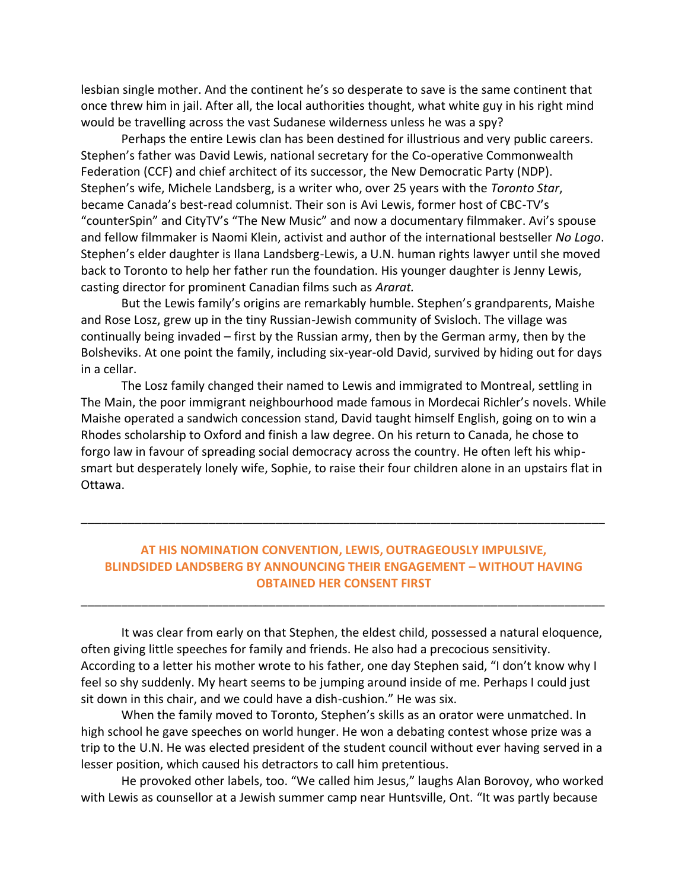lesbian single mother. And the continent he's so desperate to save is the same continent that once threw him in jail. After all, the local authorities thought, what white guy in his right mind would be travelling across the vast Sudanese wilderness unless he was a spy?

Perhaps the entire Lewis clan has been destined for illustrious and very public careers. Stephen's father was David Lewis, national secretary for the Co-operative Commonwealth Federation (CCF) and chief architect of its successor, the New Democratic Party (NDP). Stephen's wife, Michele Landsberg, is a writer who, over 25 years with the *Toronto Star*, became Canada's best-read columnist. Their son is Avi Lewis, former host of CBC-TV's "counterSpin" and CityTV's "The New Music" and now a documentary filmmaker. Avi's spouse and fellow filmmaker is Naomi Klein, activist and author of the international bestseller *No Logo*. Stephen's elder daughter is Ilana Landsberg-Lewis, a U.N. human rights lawyer until she moved back to Toronto to help her father run the foundation. His younger daughter is Jenny Lewis, casting director for prominent Canadian films such as *Ararat.*

But the Lewis family's origins are remarkably humble. Stephen's grandparents, Maishe and Rose Losz, grew up in the tiny Russian-Jewish community of Svisloch. The village was continually being invaded – first by the Russian army, then by the German army, then by the Bolsheviks. At one point the family, including six-year-old David, survived by hiding out for days in a cellar.

The Losz family changed their named to Lewis and immigrated to Montreal, settling in The Main, the poor immigrant neighbourhood made famous in Mordecai Richler's novels. While Maishe operated a sandwich concession stand, David taught himself English, going on to win a Rhodes scholarship to Oxford and finish a law degree. On his return to Canada, he chose to forgo law in favour of spreading social democracy across the country. He often left his whipsmart but desperately lonely wife, Sophie, to raise their four children alone in an upstairs flat in Ottawa.

## **AT HIS NOMINATION CONVENTION, LEWIS, OUTRAGEOUSLY IMPULSIVE, BLINDSIDED LANDSBERG BY ANNOUNCING THEIR ENGAGEMENT – WITHOUT HAVING OBTAINED HER CONSENT FIRST**

\_\_\_\_\_\_\_\_\_\_\_\_\_\_\_\_\_\_\_\_\_\_\_\_\_\_\_\_\_\_\_\_\_\_\_\_\_\_\_\_\_\_\_\_\_\_\_\_\_\_\_\_\_\_\_\_\_\_\_\_\_\_\_\_\_\_\_\_\_\_\_\_\_\_\_\_\_\_

\_\_\_\_\_\_\_\_\_\_\_\_\_\_\_\_\_\_\_\_\_\_\_\_\_\_\_\_\_\_\_\_\_\_\_\_\_\_\_\_\_\_\_\_\_\_\_\_\_\_\_\_\_\_\_\_\_\_\_\_\_\_\_\_\_\_\_\_\_\_\_\_\_\_\_\_\_\_

It was clear from early on that Stephen, the eldest child, possessed a natural eloquence, often giving little speeches for family and friends. He also had a precocious sensitivity. According to a letter his mother wrote to his father, one day Stephen said, "I don't know why I feel so shy suddenly. My heart seems to be jumping around inside of me. Perhaps I could just sit down in this chair, and we could have a dish-cushion." He was six.

When the family moved to Toronto, Stephen's skills as an orator were unmatched. In high school he gave speeches on world hunger. He won a debating contest whose prize was a trip to the U.N. He was elected president of the student council without ever having served in a lesser position, which caused his detractors to call him pretentious.

He provoked other labels, too. "We called him Jesus," laughs Alan Borovoy, who worked with Lewis as counsellor at a Jewish summer camp near Huntsville, Ont. "It was partly because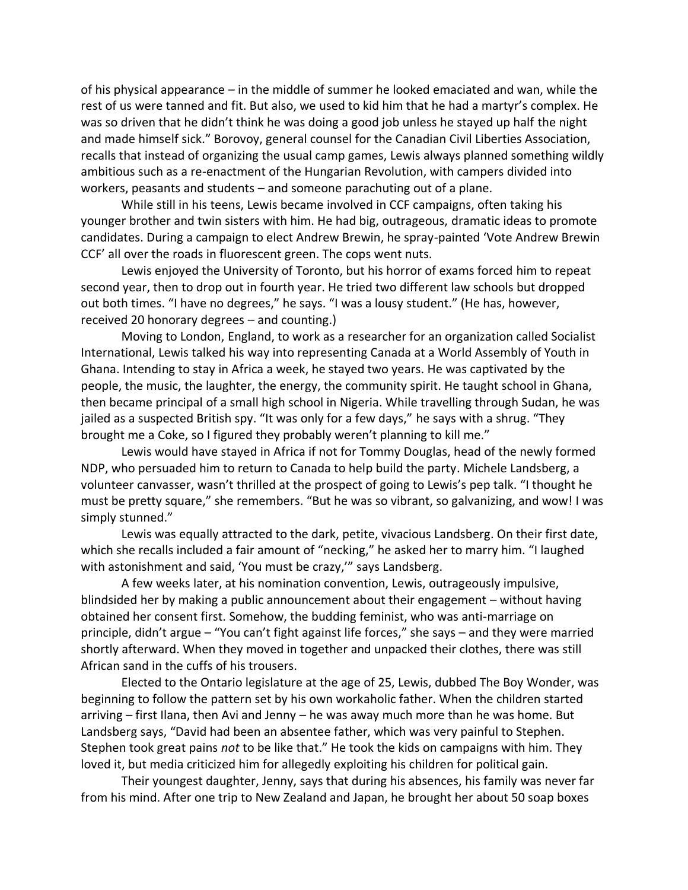of his physical appearance – in the middle of summer he looked emaciated and wan, while the rest of us were tanned and fit. But also, we used to kid him that he had a martyr's complex. He was so driven that he didn't think he was doing a good job unless he stayed up half the night and made himself sick." Borovoy, general counsel for the Canadian Civil Liberties Association, recalls that instead of organizing the usual camp games, Lewis always planned something wildly ambitious such as a re-enactment of the Hungarian Revolution, with campers divided into workers, peasants and students – and someone parachuting out of a plane.

While still in his teens, Lewis became involved in CCF campaigns, often taking his younger brother and twin sisters with him. He had big, outrageous, dramatic ideas to promote candidates. During a campaign to elect Andrew Brewin, he spray-painted 'Vote Andrew Brewin CCF' all over the roads in fluorescent green. The cops went nuts.

Lewis enjoyed the University of Toronto, but his horror of exams forced him to repeat second year, then to drop out in fourth year. He tried two different law schools but dropped out both times. "I have no degrees," he says. "I was a lousy student." (He has, however, received 20 honorary degrees – and counting.)

Moving to London, England, to work as a researcher for an organization called Socialist International, Lewis talked his way into representing Canada at a World Assembly of Youth in Ghana. Intending to stay in Africa a week, he stayed two years. He was captivated by the people, the music, the laughter, the energy, the community spirit. He taught school in Ghana, then became principal of a small high school in Nigeria. While travelling through Sudan, he was jailed as a suspected British spy. "It was only for a few days," he says with a shrug. "They brought me a Coke, so I figured they probably weren't planning to kill me."

Lewis would have stayed in Africa if not for Tommy Douglas, head of the newly formed NDP, who persuaded him to return to Canada to help build the party. Michele Landsberg, a volunteer canvasser, wasn't thrilled at the prospect of going to Lewis's pep talk. "I thought he must be pretty square," she remembers. "But he was so vibrant, so galvanizing, and wow! I was simply stunned."

Lewis was equally attracted to the dark, petite, vivacious Landsberg. On their first date, which she recalls included a fair amount of "necking," he asked her to marry him. "I laughed with astonishment and said, 'You must be crazy,'" says Landsberg.

A few weeks later, at his nomination convention, Lewis, outrageously impulsive, blindsided her by making a public announcement about their engagement – without having obtained her consent first. Somehow, the budding feminist, who was anti-marriage on principle, didn't argue – "You can't fight against life forces," she says – and they were married shortly afterward. When they moved in together and unpacked their clothes, there was still African sand in the cuffs of his trousers.

Elected to the Ontario legislature at the age of 25, Lewis, dubbed The Boy Wonder, was beginning to follow the pattern set by his own workaholic father. When the children started arriving – first Ilana, then Avi and Jenny – he was away much more than he was home. But Landsberg says, "David had been an absentee father, which was very painful to Stephen. Stephen took great pains *not* to be like that." He took the kids on campaigns with him. They loved it, but media criticized him for allegedly exploiting his children for political gain.

Their youngest daughter, Jenny, says that during his absences, his family was never far from his mind. After one trip to New Zealand and Japan, he brought her about 50 soap boxes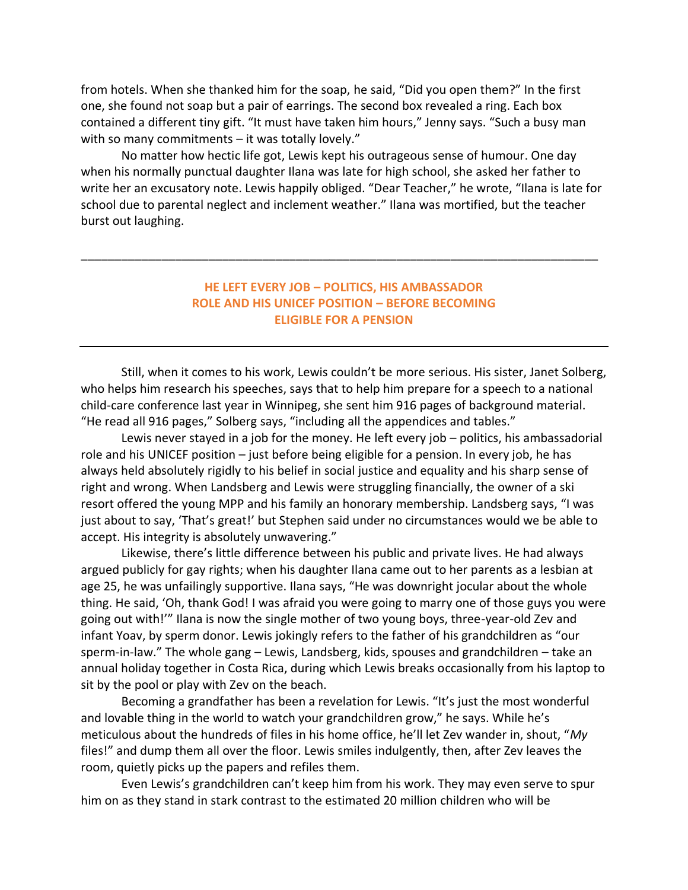from hotels. When she thanked him for the soap, he said, "Did you open them?" In the first one, she found not soap but a pair of earrings. The second box revealed a ring. Each box contained a different tiny gift. "It must have taken him hours," Jenny says. "Such a busy man with so many commitments – it was totally lovely."

No matter how hectic life got, Lewis kept his outrageous sense of humour. One day when his normally punctual daughter Ilana was late for high school, she asked her father to write her an excusatory note. Lewis happily obliged. "Dear Teacher," he wrote, "Ilana is late for school due to parental neglect and inclement weather." Ilana was mortified, but the teacher burst out laughing.

### **HE LEFT EVERY JOB – POLITICS, HIS AMBASSADOR ROLE AND HIS UNICEF POSITION – BEFORE BECOMING ELIGIBLE FOR A PENSION**

\_\_\_\_\_\_\_\_\_\_\_\_\_\_\_\_\_\_\_\_\_\_\_\_\_\_\_\_\_\_\_\_\_\_\_\_\_\_\_\_\_\_\_\_\_\_\_\_\_\_\_\_\_\_\_\_\_\_\_\_\_\_\_\_\_\_\_\_\_\_\_\_\_\_\_\_\_

Still, when it comes to his work, Lewis couldn't be more serious. His sister, Janet Solberg, who helps him research his speeches, says that to help him prepare for a speech to a national child-care conference last year in Winnipeg, she sent him 916 pages of background material. "He read all 916 pages," Solberg says, "including all the appendices and tables."

Lewis never stayed in a job for the money. He left every job – politics, his ambassadorial role and his UNICEF position – just before being eligible for a pension. In every job, he has always held absolutely rigidly to his belief in social justice and equality and his sharp sense of right and wrong. When Landsberg and Lewis were struggling financially, the owner of a ski resort offered the young MPP and his family an honorary membership. Landsberg says, "I was just about to say, 'That's great!' but Stephen said under no circumstances would we be able to accept. His integrity is absolutely unwavering."

Likewise, there's little difference between his public and private lives. He had always argued publicly for gay rights; when his daughter Ilana came out to her parents as a lesbian at age 25, he was unfailingly supportive. Ilana says, "He was downright jocular about the whole thing. He said, 'Oh, thank God! I was afraid you were going to marry one of those guys you were going out with!'" Ilana is now the single mother of two young boys, three-year-old Zev and infant Yoav, by sperm donor. Lewis jokingly refers to the father of his grandchildren as "our sperm-in-law." The whole gang – Lewis, Landsberg, kids, spouses and grandchildren – take an annual holiday together in Costa Rica, during which Lewis breaks occasionally from his laptop to sit by the pool or play with Zev on the beach.

Becoming a grandfather has been a revelation for Lewis. "It's just the most wonderful and lovable thing in the world to watch your grandchildren grow," he says. While he's meticulous about the hundreds of files in his home office, he'll let Zev wander in, shout, "*My* files!" and dump them all over the floor. Lewis smiles indulgently, then, after Zev leaves the room, quietly picks up the papers and refiles them.

Even Lewis's grandchildren can't keep him from his work. They may even serve to spur him on as they stand in stark contrast to the estimated 20 million children who will be